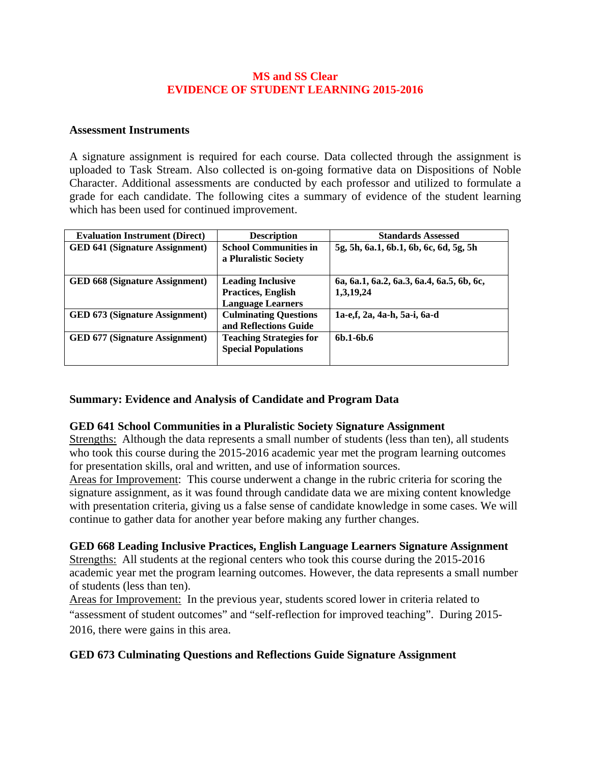### **MS and SS Clear EVIDENCE OF STUDENT LEARNING 2015-2016**

#### **Assessment Instruments**

A signature assignment is required for each course. Data collected through the assignment is uploaded to Task Stream. Also collected is on-going formative data on Dispositions of Noble Character. Additional assessments are conducted by each professor and utilized to formulate a grade for each candidate. The following cites a summary of evidence of the student learning which has been used for continued improvement.

| <b>Evaluation Instrument (Direct)</b> | <b>Description</b>                                                         | <b>Standards Assessed</b>                              |
|---------------------------------------|----------------------------------------------------------------------------|--------------------------------------------------------|
| <b>GED 641 (Signature Assignment)</b> | <b>School Communities in</b><br>a Pluralistic Society                      | 5g, 5h, 6a.1, 6b.1, 6b, 6c, 6d, 5g, 5h                 |
| <b>GED 668 (Signature Assignment)</b> | <b>Leading Inclusive</b><br>Practices, English<br><b>Language Learners</b> | 6a, 6a.1, 6a.2, 6a.3, 6a.4, 6a.5, 6b, 6c,<br>1,3,19,24 |
| <b>GED 673 (Signature Assignment)</b> | <b>Culminating Questions</b><br>and Reflections Guide                      | 1a-e,f, 2a, 4a-h, 5a-i, 6a-d                           |
| <b>GED 677 (Signature Assignment)</b> | <b>Teaching Strategies for</b><br><b>Special Populations</b>               | $6b.1 - 6b.6$                                          |

### **Summary: Evidence and Analysis of Candidate and Program Data**

### **GED 641 School Communities in a Pluralistic Society Signature Assignment**

Strengths: Although the data represents a small number of students (less than ten), all students who took this course during the 2015-2016 academic year met the program learning outcomes for presentation skills, oral and written, and use of information sources.

Areas for Improvement: This course underwent a change in the rubric criteria for scoring the signature assignment, as it was found through candidate data we are mixing content knowledge with presentation criteria, giving us a false sense of candidate knowledge in some cases. We will continue to gather data for another year before making any further changes.

### **GED 668 Leading Inclusive Practices, English Language Learners Signature Assignment**

Strengths: All students at the regional centers who took this course during the 2015-2016 academic year met the program learning outcomes. However, the data represents a small number of students (less than ten).

Areas for Improvement: In the previous year, students scored lower in criteria related to "assessment of student outcomes" and "self-reflection for improved teaching". During 2015- 2016, there were gains in this area.

# **GED 673 Culminating Questions and Reflections Guide Signature Assignment**